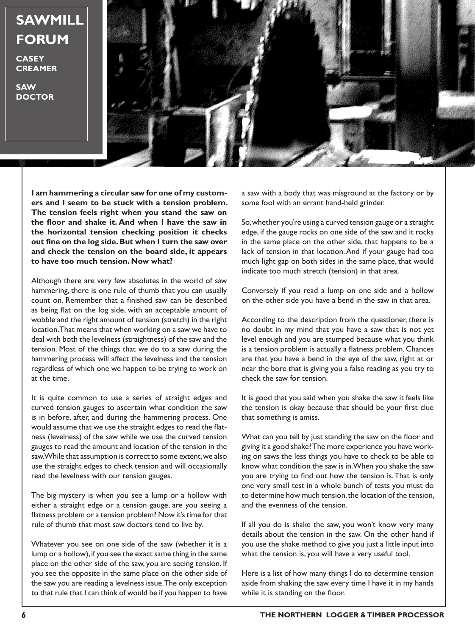## **SAWMILL FORUM**

**CASEY CREAMER**

**SAW DOCTOR**



**I am hammering a circular saw for one of my customers and I seem to be stuck with a tension problem. The tension feels right when you stand the saw on the floor and shake it. And when I have the saw in the horizontal tension checking position it checks out fine on the log side. But when I turn the saw over and check the tension on the board side, it appears to have too much tension. Now what?**

Although there are very few absolutes in the world of saw hammering, there is one rule of thumb that you can usually count on. Remember that a finished saw can be described as being flat on the log side, with an acceptable amount of wobble and the right amount of tension (stretch) in the right location. That means that when working on a saw we have to deal with both the levelness (straightness) of the saw and the tension. Most of the things that we do to a saw during the hammering process will affect the levelness and the tension regardless of which one we happen to be trying to work on at the time.

It is quite common to use a series of straight edges and curved tension gauges to ascertain what condition the saw is in before, after, and during the hammering process. One would assume that we use the straight edges to read the flatness (levelness) of the saw while we use the curved tension gauges to read the amount and location of the tension in the saw. While that assumption is correct to some extent, we also use the straight edges to check tension and will occasionally read the levelness with our tension gauges.

The big mystery is when you see a lump or a hollow with either a straight edge or a tension gauge, are you seeing a flatness problem or a tension problem? Now it's time for that rule of thumb that most saw doctors tend to live by.

Whatever you see on one side of the saw (whether it is a lump or a hollow), if you see the exact same thing in the same place on the other side of the saw, you are seeing tension. If you see the opposite in the same place on the other side of the saw you are reading a levelness issue. The only exception to that rule that I can think of would be if you happen to have

a saw with a body that was misground at the factory or by some fool with an errant hand-held grinder.

So, whether you're using a curved tension gauge or a straight edge, if the gauge rocks on one side of the saw and it rocks in the same place on the other side, that happens to be a lack of tension in that location. And if your gauge had too much light gap on both sides in the same place, that would indicate too much stretch (tension) in that area.

Conversely if you read a lump on one side and a hollow on the other side you have a bend in the saw in that area.

According to the description from the questioner, there is no doubt in my mind that you have a saw that is not yet level enough and you are stumped because what you think is a tension problem is actually a flatness problem. Chances are that you have a bend in the eye of the saw, right at or near the bore that is giving you a false reading as you try to check the saw for tension.

It is good that you said when you shake the saw it feels like the tension is okay because that should be your first clue that something is amiss.

What can you tell by just standing the saw on the floor and giving it a good shake? The more experience you have working on saws the less things you have to check to be able to know what condition the saw is in. When you shake the saw you are trying to find out how the tension is. That is only one very small test in a whole bunch of tests you must do to determine how much tension, the location of the tension, and the evenness of the tension.

If all you do is shake the saw, you won't know very many details about the tension in the saw. On the other hand if you use the shake method to give you just a little input into what the tension is, you will have a very useful tool.

Here is a list of how many things I do to determine tension aside from shaking the saw every time I have it in my hands while it is standing on the floor.